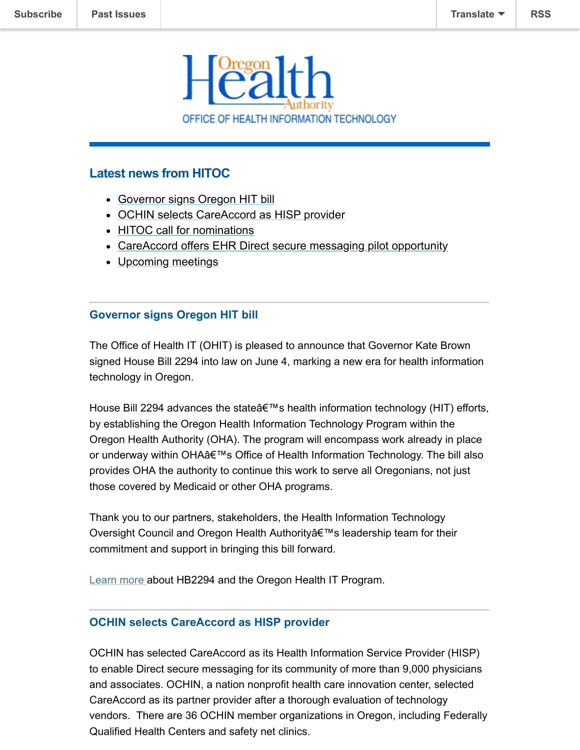

# **Latest news from HITOC**

- [Governor signs Oregon HIT bill](#page-0-0)
- [OCHIN selects CareAccord as HISP provider](#page-0-1)
- [HITOC call for nominations](#page-1-0)
- [CareAccord offers EHR Direct secure messaging pilot opportunity](#page-1-1)
- [Upcoming meetings](#page-2-0)

### <span id="page-0-0"></span>**Governor signs Oregon HIT bill**

The Office of Health IT (OHIT) is pleased to announce that Governor Kate Brown signed House Bill 2294 into law on June 4, marking a new era for health information technology in Oregon.

House Bill 2294 advances the state  $\hat{\theta} \in \mathbb{M}$ s health information technology (HIT) efforts, by establishing the Oregon Health Information Technology Program within the Oregon Health Authority (OHA). The program will encompass work already in place or underway within OHA's Office of Health Information Technology. The bill also provides OHA the authority to continue this work to serve all Oregonians, not just those covered by Medicaid or other OHA programs.

Thank you to our partners, stakeholders, the Health Information Technology Oversight Council and Oregon Health Authority a leadership team for their commitment and support in bringing this bill forward.

[Learn more](http://www.oregon.gov/oha/OHPR/OHIT/Pages/News-Item.aspx?View={7B39182D-9F98-4E9F-BF53-F7FDB349D4F1}&SelectedID=9#article) about HB2294 and the Oregon Health IT Program.

### <span id="page-0-1"></span>**OCHIN selects CareAccord as HISP provider**

OCHIN has selected CareAccord as its Health Information Service Provider (HISP) to enable Direct secure messaging for its community of more than 9,000 physicians and associates. OCHIN, a nation nonprofit health care innovation center, selected CareAccord as its partner provider after a thorough evaluation of technology vendors. There are 36 OCHIN member organizations in Oregon, including Federally Qualified Health Centers and safety net clinics.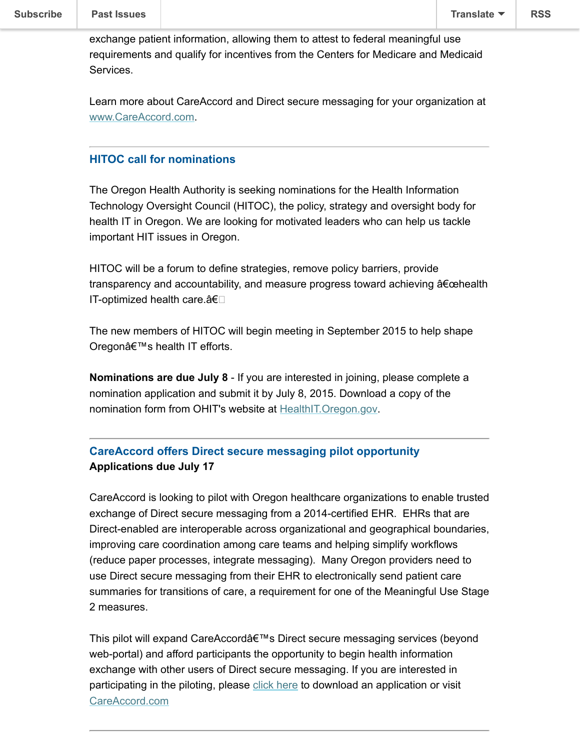exchange patient information, allowing them to attest to federal meaningful use requirements and qualify for incentives from the Centers for Medicare and Medicaid Services.

Learn more about CareAccord and Direct secure messaging for your organization at [www.CareAccord.com.](http://www.careaccord.com/)

#### <span id="page-1-0"></span>**HITOC call for nominations**

The Oregon Health Authority is seeking nominations for the Health Information Technology Oversight Council (HITOC), the policy, strategy and oversight body for health IT in Oregon. We are looking for motivated leaders who can help us tackle important HIT issues in Oregon.

HITOC will be a forum to define strategies, remove policy barriers, provide transparency and accountability, and measure progress toward achieving  $\hat{a} \in \hat{b}$  earth IT-optimized health care.â€

The new members of HITOC will begin meeting in September 2015 to help shape Oregon's health IT efforts.

**Nominations are due July 8** - If you are interested in joining, please complete a nomination application and submit it by July 8, 2015. Download a copy of the nomination form from OHIT's website at **HealthIT.Oregon.gov**.

# <span id="page-1-1"></span>**CareAccord offers Direct secure messaging pilot opportunity Applications due July 17**

CareAccord is looking to pilot with Oregon healthcare organizations to enable trusted exchange of Direct secure messaging from a 2014-certified EHR. EHRs that are Direct-enabled are interoperable across organizational and geographical boundaries, improving care coordination among care teams and helping simplify workflows (reduce paper processes, integrate messaging). Many Oregon providers need to use Direct secure messaging from their EHR to electronically send patient care summaries for transitions of care, a requirement for one of the Meaningful Use Stage 2 measures.

This pilot will expand CareAccord's Direct secure messaging services (beyond web-portal) and afford participants the opportunity to begin health information exchange with other users of Direct secure messaging. If you are interested in participating in the piloting, please [click here](https://www.careaccord.org/docs/CareAccord-EHR-DSM-Integration-Pilot-June252015.pdf) to download an application or visit [CareAccord.com](http://www.careaccord.com/)